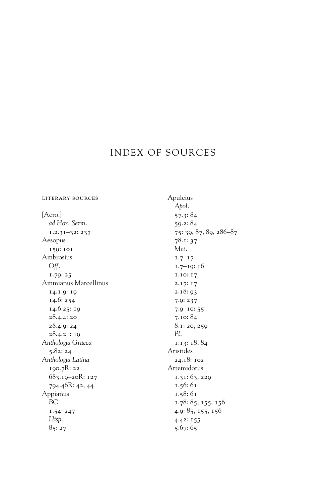## INDEX OF SOURCES

[Acro.] *ad Hor. Serm.* 1.2.31–32: 237 Aesopus 159: 101 Ambrosius *Off.* 1.79: 25 Ammianus Marcellinus 14.1.9: 19 14.6: 254 14.6.25: 19 28.4.4: 20 28.4.9: 24 28.4.21: 19 *Anthologia Graeca* 5.82: 24 *Anthologia Latina* 190.7R: 22 683.19–20R: 127 794.46R: 42, 44 Appianus *BC* 1.54: 247 *Hisp.* 85: 27

literary sources

Apuleius *Apol.* 57.3: 84 59.2: 84 75: 39, 87, 89, 286–87 78.1: 37 *Met.* 1.7: 17 1.7–19: 16 1.10: 17 2.17: 17 2.18: 93 7.9: 237 7.9–10: 55 7.10: 84 8.1: 20, 259 *Pl.* 1.13: 18, 84 Aristides 24.18: 102 Artemidorus 1.31: 63, 229 1.56: 61 1.58: 61 1.78: 85, 155, 156 4.9: 85, 155, 156 4.42: 155 5.67: 65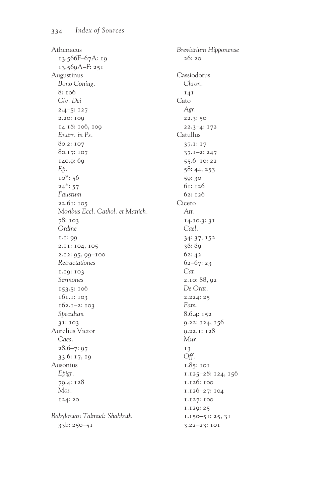Athenaeus 13.566F–67A: 19 13.569A–F: 251 Augustinus *Bono Coniug.* 8: 106 *Civ. Dei* 2.4–5: 127 2.20: 109 14.18: 106, 109 *Enarr. in Ps.* 80.2: 107 80.17: 107 140.9: 69 *Ep.* 10\*: 56  $24*: 57$ *Faustum* 22.61: 105 *Moribus Eccl. Cathol. et Manich.* 78: 103 *Ordine* 1.1: 99 2.11: 104, 105 2.12: 95, 99–100 *Retractationes* 1.19: 103 *Sermones* 153.5: 106 161.1: 103 162.1–2: 103 *Speculum* 31: 103 Aurelius Victor *Caes.* 28.6–7: 97 33.6: 17, 19 Ausonius *Epigr.* 79.4: 128 *Mos.* 124: 20 *Babylonian Talmud: Shabbath* 33b: 250–51

*Breviarium Hipponense* 26: 20 Cassiodorus *Chron.* 141 Cato *Agr.* 22.3: 50 22.3–4: 172 Catullus 37.1: 17 37.1–2: 247 55.6–10: 22 58: 44, 253 59: 30 61: 126 62: 126 Cicero *Att.* 14.10.3: 31 *Cael.* 34: 37, 152 38: 89 62: 42 62–67: 23 *Cat.* 2.10: 88, 92 *De Orat.* 2.224: 25 *Fam.* 8.6.4: 152 9.22: 124, 156 9.22.1: 128 *Mur.* 13 *Off.* 1.85: 101 1.125–28: 124, 156 1.126: 100 1.126–27: 104 1.127: 100 1.129: 25 1.150–51: 25, 31 3.22–23: 101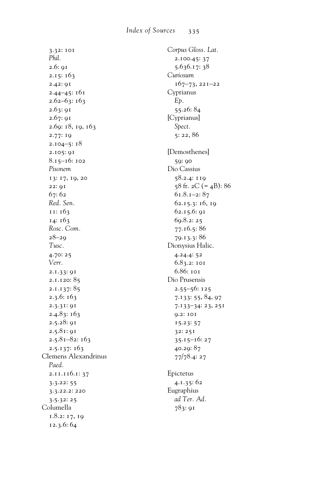3.32: 101 *Phil.* 2.6: 91 2.15: 163 2.42: 91 2.44–45: 161 2.62–63: 163 2.63: 91 2.67: 91 2.69: 18, 19, 163 2.77: 19 2.104–5: 18 2.105: 91 8.15–16: 102 *Pisonem* 13: 17, 19, 20 22: 91 67: 62 *Red. Sen.* 11: 163 14: 163 *Rosc. Com.* 28–29 *Tusc.* 4.70: 25 *Verr.* 2.1.33: 91 2.1.120: 85 2.1.137: 85 2.3.6: 163 2.3.31: 91 2.4.83: 163 2.5.28: 91 2.5.81: 91 2.5.81–82: 163 2.5.137: 163 Clemens Alexandrinus *Paed.* 2.11.116.1: 37 3.3.22: 55 3.3.22.2: 220 3.5.32: 25 Columella 1.8.2: 17, 19 12.3.6: 64

*Corpus Gloss. Lat.* 2.100.45: 37 5.636.17: 38 *Curiosum* 167–73, 221–22 Cyprianus *Ep.* 55.26: 84 [Cyprianus] *Spect.* 5: 22, 86 [Demosthenes] 59: 90 Dio Cassius 58.2.4: 119 58 fr.  $2C (= 4B)$ : 86 61.8.1–2: 87 62.15.3: 16, 19 62.15.6: 91 69.8.2: 25 77.16.5: 86 79.13.3: 86 Dionysius Halic. 4.24.4: 52 6.83.2: 101 6.86: 101 Dio Prusensis 2.55–56: 125 7.133: 55, 84, 97 7.133–34: 23, 251 9.2: 101 15.23: 57 32: 251 35.15–16: 27 40.29: 87 77/78.4: 27 Epictetus 4.1.35: 62 Eugraphius *ad Ter. Ad.* 783: 91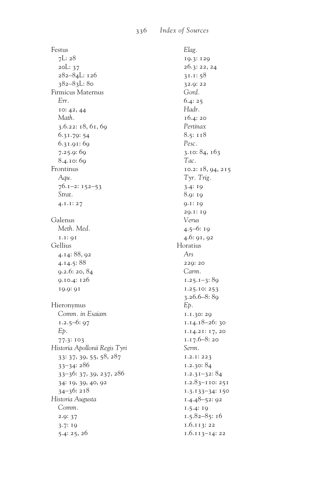Festus  $7L:28$ 20L: 37 282-84L: 126  $382 - 83L:80$ Firmicus Maternus Err. IO:  $42, 44$ Math.  $3.6.22: 18, 61, 69$ 6.31.79:54  $6.31.91:69$  $7.25.9:69$ 8.4.10:60 Frontinus Agu.  $76.1 - 2:152 - 53$ Strat.  $4.1.1:27$ Galenus Meth. Med.  $1.1:01$ Gellius 4.14:88, 92  $4.14.5:88$  $9.2.6:20, 84$ 0.10.4: 126 19.9: 91 Hieronymus Comm. in Esaiam  $1.2.5 - 6:97$ E<sub>b</sub>. 77.3: 103 Historia Apollonii Regis Tyri 33: 37, 39, 55, 58, 287  $33 - 34:286$ 33-36: 37, 39, 237, 286 34: 19, 39, 40, 92  $34 - 36:218$ Historia Augusta Comm.  $2.9:37$  $3.7:19$  $5.4:25,26$ 

Elag. 19.3: 129 26.3: 22, 24  $31.1:58$ 32.9:22 Gord.  $6.4:25$ Hadr.  $16.4:20$ Pertinax  $8.5:118$ Pesc.  $3.10: 84, 163$ Tac. 10.2: 18, 94, 215 Tyr. Trig.  $3.4:19$ 8.9: 19  $0.1:10$ 29.1: 19 Verus  $4.5 - 6:19$ 4.6: 91, 92 Horatius  $Ars$ 220:20 Carm.  $1.25.1 - 3:89$  $1.25.10:253$  $3.26.6 - 8:89$ E<sub>b</sub>. 1.1.30: 29  $1.14.18 - 26:30$ 1.14.21: 17, 20  $1.17.6 - 8:20$ Serm.  $1.2.1:223$  $1.2.30:84$  $1.2.31 - 32:84$  $1.2.83 - 110:251$  $1.3.133 - 34:150$  $1.4.48 - 52:92$  $1.5.4:19$  $1.5.82 - 85:16$  $1.6.113:22$  $1.6.113 - 14:22$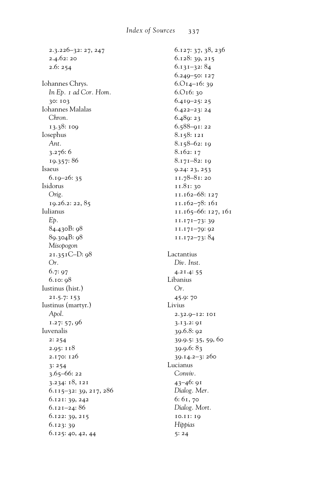| 2.3.226–32: 27, 247    | 6.127: 37, 38, 236  |
|------------------------|---------------------|
| 2.4.62: 20             | 6.128: 39, 215      |
| 2.6:254                | 6.131–32: 84        |
|                        | 6.249-50: 127       |
| Iohannes Chrys.        | $6.014 - 16:39$     |
| In Ep. 1 ad Cor. Hom.  | 6.О16: 30           |
| 30: 103                | 6.419-25:25         |
| Iohannes Malalas       | 6.422–23: 24        |
| Chron.                 | 6.489: 23           |
| 13.38: 109             | $6.588 - 91:22$     |
| Iosephus               | 8.158: 121          |
| Ant.                   | 8.158-62:19         |
| 3.276:6                | 8.162: 17           |
| 19.357:86              | 8.171-82:19         |
| Isaeus                 | 9.24: 23, 253       |
| $6.19 - 26:35$         | $11.78 - 81:20$     |
| Isidorus               | 11.81:30            |
| Orig.                  | 11.162-68: 127      |
| 19.26.2: 22, 85        | 11.162-78: 161      |
| Iulianus               | 11.165-66: 127, 161 |
| Ep.                    | $11.171 - 73:39$    |
| 84.430B: 98            | 11.171-79: 92       |
| 89.304B: 98            | 11.172-73:84        |
| Misopogon              |                     |
| 21.351C-D: 98          | Lactantius          |
| Or.                    | Div. Inst.          |
|                        |                     |
| 6.7:97                 | 4.21.4:55           |
| 6.10: 98               | Libanius            |
| Iustinus (hist.)       | Or.                 |
| 21.5.7: 153            | 45.9: 70            |
| Iustinus (martyr.)     | Livius              |
| Apol.                  | 2.32.9-12: 101      |
| 1.27: 57, 96           | 3.13.2: 91          |
| Iuvenalis              | 39.6.8:92           |
| 2:254                  | 39.9.5: 35, 59, 60  |
| 2.95: 118              | 39.9.6:83           |
| 2.170: 126             | 39.14.2-3: 260      |
| 3:254                  | Lucianus            |
| 3.65-66: 22            | Conviv.             |
| 3.234: 18, 121         | $43 - 46:91$        |
| 6.115-32: 39, 217, 286 | Dialog. Mer.        |
|                        |                     |
| 6.121: 39, 242         | 6: 61, 70           |
| 6.121–24: 86           | Dialog. Mort.       |
| 6.122: 39, 215         | 10.11:19            |
| 6.123: 39              | Hippias             |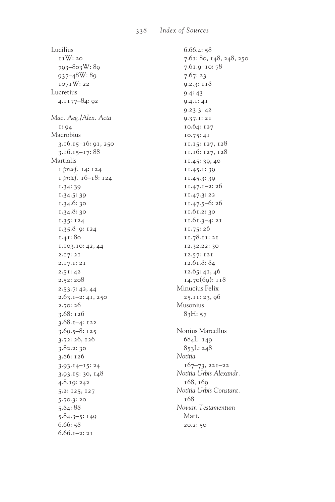Lucilius 11W: 20 793-803W: 89  $937 - 48W: 89$ 1071W: 22 Lucretius 4.1177-84: 92 Mac. Aeg./Alex. Acta  $1:94$ Macrobius 3.16.15-16: 91, 250  $3.16.15 - 17:88$ Martialis I praef. 14: 124 1 praef. 16-18: 124  $1.34:39$  $1.34.5:39$ 1.34.6:30  $1.34.8:30$  $1.35:124$  $1.35.8 - 0:124$ 1.41:80 1.103.10: 42, 44  $2.17:21$  $2.17.1:21$  $2.51:42$  $2.52:208$  $2.53.7:42,44$  $2.63.1 - 2:41,250$  $2.70:26$  $3.68:126$  $3.68.1 - 4:122$  $3.69.5 - 8:125$ 3.72: 26, 126  $3.82.2:30$ 3.86: 126  $3.93.14 - 15:24$ 3.93.15: 30, 148 4.8.19: 242 5.2: 125, 127 5.70.3:20  $5.84:88$  $5.84.3 - 5:149$  $6.66:58$  $6.66.1 - 2:21$ 

 $6.66.4:58$ 7.61: 80, 148, 248, 250  $7.61.9 - 10:78$  $7.67:23$  $9.2.3:118$  $9.4:43$  $9.4.1:41$  $9.23.3:42$  $0.37.1:21$ 10.64: 127  $10.75:41$ 11.15: 127, 128 11.16: 127, 128 11.45: 39, 40 11.45.1:39 11.45.3:39  $11.47.1 - 2:26$ 11.47.3: 22  $11.47.5 - 6:26$ 11.61.2: 30  $11.61.3 - 4:21$ 11.75:26 11.78.11:21 12.32.22: 30 12.57: 121 12.61.8:84 12.65: 41, 46  $14.70(69): 118$ Minucius Felix 25.11: 23, 96 Musonius  $83H:57$ Nonius Marcellus 684L: 140  $853L:248$ Notitia  $167 - 73, 221 - 22$ Notitia Urbis Alexandr. 168.160 Notitia Urbis Constant.  $168$ Novum Testamentum Matt. 20.2: 50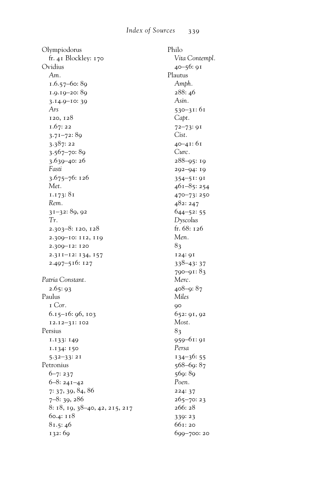Olympiodorus fr. 41 Blockley: 170 Ovidius *Am.* 1.6.57–60: 89 1.9.19–20: 89 3.14.9–10: 39 *Ars* 120, 128 1.67: 22 3.71–72: 89 3.387: 22 3.567–70: 89 3.639–40: 26 *Fasti* 3.675–76: 126 *Met.* 1.173: 81 *Rem.* 31–32: 89, 92 *Tr.* 2.303–8: 120, 128 2.309–10: 112, 119 2.309–12: 120 2.311–12: 134, 157 2.497–516: 127 *Patria Constant.* 2.65: 93 Paulus 1 *Cor.* 6.15–16: 96, 103 12.12–31: 102 Persius 1.133: 149 1.134: 150 5.32–33: 21 Petronius 6–7: 237 6–8: 241–42 7: 37, 39, 84, 86 7–8: 39, 286 8: 18, 19, 38–40, 42, 215, 217 60.4: 118 81.5: 46 132: 69

Philo *Vita Contempl.* 40–56: 91 Plautus *Amph.* 288: 46 *Asin.* 530–31: 61 *Capt.* 72–73: 91 *Cist.* 40–41: 61 *Curc.* 288–95: 19 292–94: 19 354–51: 91 461–85: 254 470–73: 250 482: 247  $644 - 52: 55$ *Dyscolus* fr. 68: 126 *Men.* 83 124: 91 338–43: 37 790–91: 83 *Merc.* 408–9: 87 *Miles* **90** 652: 91, 92 *Most.* 83 959–61: 91 *Persa* 134–36: 55 568–69: 87 569: 89 *Poen.* 224: 37 265–70: 23 266: 28 339: 23 661: 20 699–700: 20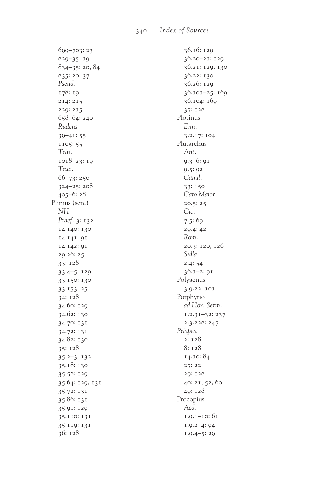699-703:23  $829 - 35:19$  $834 - 35:20, 84$ 835:20,37 Pseud. 178: 19 214:215 229: 215  $658 - 64:240$ Rudens  $39 - 41:55$ 1105:55 Trin.  $1018 - 23:19$ Truc.  $66 - 73:250$  $324 - 25:208$  $405 - 6:28$ Plinius (sen.) **NH** Praef. 3: 132 14.140: 130 14.141: 91 14.142: 91 29.26:25 33:128  $33.4 - 5:129$ 33.150: 130  $33.153:25$  $34:128$ 34.60: 129 34.62: 130 34.70: 131 34.72: 131 34.82: 130 35:128  $35.2 - 3:132$ 35.18:130 35.58: 129 35.64: 129, 131  $35.72:131$ 35.86: 131 35.91: 120 35.110: 131 35.119: 131  $36:128$ 

36.16: 120  $36.20 - 21:129$ 36.21: 129, 130 36.22: 130 36.26: 129  $36.101 - 25:169$ 36.104: 169 37: 128 Plotinus  $F_{nn}$ 3.2.17: 104 Plutarchus  $Ant$  $9.3 - 6:91$  $9.5:92$ Camil. 33: 150 Cato Maior  $20.5:25$ Cic.  $7.5:69$  $20.4:42$ Rom. 20.3: 120, 126 Sulla  $2.4:54$  $36.1 - 2:91$ Polyaenus 3.9.22: 101 Porphyrio ad Hor. Serm.  $1.2.31 - 32:237$ 2.3.228: 247 Priapea  $2:128$ 8:128 14.10:84 27: 22 29: 128 40: 21, 52, 60 49: 128 Procopius Aed.  $1.9.1 - 10:61$  $1.9.2 - 4:94$  $1.9.4 - 5:29$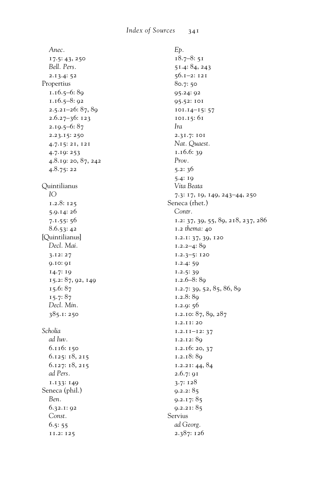| Anec.                 |    |
|-----------------------|----|
| 17.5: 43, 250         |    |
| Bell. Pers.           |    |
| 2.13.4:52             |    |
| Propertius            |    |
| 1.16.5-6:89           |    |
| $1.16.5 - 8:92$       |    |
| $2.5.21 - 26: 87, 89$ |    |
| 2.6.27-36: 123        |    |
| $2.19.5 - 6:87$       |    |
| 2.23.15: 250          |    |
| 4.7.15: 21, 121       |    |
| 4.7.19: 253           |    |
| 4.8.19: 20, 87, 242   |    |
| 4.8.75:22             |    |
| Quintilianus          |    |
| IO                    |    |
| 1.2.8: 125            | S, |
| 5.9.14:26             |    |
| 7.1.55:56             |    |
| 8.6.53:42             |    |
| [Quintilianus]        |    |
| Decl. Mai.            |    |
| 3.12:27               |    |
| 9.10: 91              |    |
| 14.7: 19              |    |
| 15.2: 87, 92, 149     |    |
| 15.6:87               |    |
| 15.7:87               |    |
| Decl. Min.            |    |
| 385.1: 250            |    |
|                       |    |
| Scholia               |    |
| ad Iuv.               |    |
| 6.116: 150            |    |
| 6.125: 18, 215        |    |
| 6.127: 18, 215        |    |
| ad Pers.              |    |
| 1.133: 149            |    |
| Seneca (phil.)        |    |
| Ben.                  |    |
| 6.32.1: 92            |    |
| Const.                | S, |
| 6.5:55                |    |
| 11.2: 125             |    |
|                       |    |

E<sub>b</sub>.  $18.7 - 8:51$ 51.4: 84, 243 56.1-2: 121 80.7:50 95.24: 92 95.52: 101 101.14-15:57 101.15:61 Ira 2.31.7: 101 Nat. Quaest.  $1.16.6:39$  $Prov.$  $5.2:36$  $5.4:19$ Vita Beata 7.3: 17, 19, 149, 243-44, 250 eneca (rhet.) Contr. 1.2: 37, 39, 55, 89, 218, 237, 286 1.2 thema: 40 1.2.1: 37, 39, 120  $1.2.2 - 4:89$  $1.2.3 - 5:120$  $1.2.4:59$  $1.2.5:39$  $1.2.6 - 8:89$ 1.2.7: 39, 52, 85, 86, 89  $1.2.8:89$  $1.2.9:56$ 1.2.10: 87, 89, 287 1.2.11:20  $1.2.11 - 12:37$ 1.2.12:89  $1.2.16:20,37$ 1.2.18:89  $1.2.21:44,84$ 2.6.7: 91  $3.7:128$  $9.2.2:85$  $9.2.17:85$  $9.2.21:85$ ervius ad Georg. 2.387: 126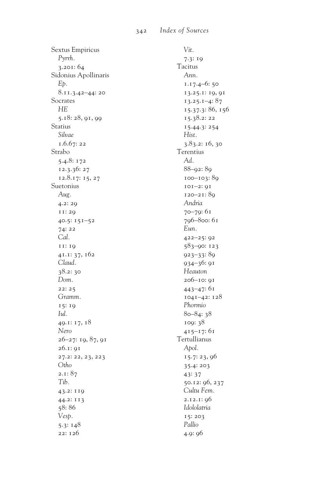Sextus Empiricus *Pyrrh.* 3.201: 64 Sidonius Apollinaris *Ep.* 8.11.3.42–44: 20 Socrates *HE* 5.18: 28, 91, 99 Statius *Silvae* 1.6.67: 22 Strabo 5.4.8: 172 12.3.36: 27 12.8.17: 15, 27 Suetonius *Aug.* 4.2: 29 11: 29 40.5: 151–52 74: 22 *Cal.* 11: 19 41.1: 37, 162 *Claud.* 38.2: 30 *Dom.* 22: 25 *Gramm.* 15: 19 *Iul.* 49.1: 17, 18 *Nero* 26–27: 19, 87, 91 26.1: 91 27.2: 22, 23, 223 *Otho* 2.1: 87 *Tib.* 43.2: 119 44.2: 113 58: 86 *Vesp.* 5.3: 148 22: 126

*Vit.* 7.3: 19 Tacitus *Ann.* 1.17.4–6: 50 13.25.1: 19, 91 13.25.1–4: 87 15.37.3: 86, 156 15.38.2: 22 15.44.3: 254 *Hist.* 3.83.2: 16, 30 Terentius *Ad.* 88–92: 89 100–103: 89 101–2: 91 120–21: 89 *Andria* 70–79: 61 796–800: 61 *Eun.* 422–25: 92 583–90: 123 923–33: 89 934–36: 91 *Heauton* 206–10: 91 443–47: 61 1041–42: 128 *Phormio* 80–84: 38 109: 38 415–17: 61 Tertullianus *Apol.* 15.7: 23, 96 35.4: 203 43: 37 50.12: 96, 237 *Cultu Fem.* 2.12.1: 96 *Idololatria* 15: 203 *Pallio* 4.9: 96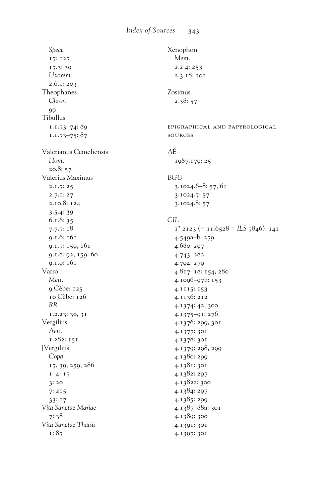Spect. 17: 127 17.3:39 **U**xorem  $2.6.1:203$ Theophanes Chron.  $\overline{O}$ Tibullus  $1.1.73 - 74.89$  $1.1.73 - 75:87$ Valerianus Cemeliensis Hom.  $20.8:57$ Valerius Maximus  $2.1.7:25$  $2.7.1:27$ 2.10.8: 124  $3.5.4:39$  $6.1.6:35$  $7.7.7:18$ 9.1.6: 161 9.1.7: 159, 161 9.1.8: 92, 159-60  $9.1.9:161$ Varro Men. 9 Cèbe: 125 10 Cèbe: 126  $RR$  $1.2.23:30,31$ Vergilius Aen.  $1.282:151$ [Vergilius] Copa 17, 39, 259, 286  $I-4: I7$  $3:20$  $7:215$  $33:17$ Vita Sanctae Mariae  $7:38$ Vita Sanctae Thaisis  $1:87$ 

```
Xenophon
  Mem.
  2.2.4:2532.3.18: 101
Zosimus
  2.38:57EPIGRAPHICAL AND PAPYROLOGICAL
SOURCES
AÉ
  1987.179:25
BGU
  3.1024.6 - 8:57,613.1024.7: 57
  3.1024.8:57CIL
  I^2 2123 (= 11.6528 = ILS 7846): 141
  4.549a-b:2794.680: 297
  4.743:2824.794: 279
  4.817-18: 154, 280
  4.1096-97b: 153
  4.1115:153
  4.1136:212
  4.1374: 42, 300
  4.1375-91:276
  4.1376: 299, 301
  4.1377: 301
  4.1378: 301
  4.1379: 298, 299
  4.1380: 299
  4.1381: 301
  4.1382: 297
  4.1382a: 300
  4.1384: 297
  4.1385:299
  4.1387-88а: 301
  4.1389: 300
  4.1391: 301
  4.1397: 301
```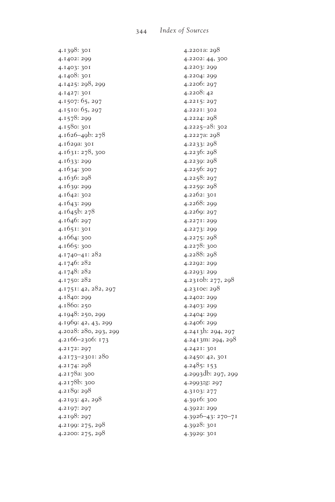4.1398: 301 4.1402: 299 4.1403: 301 4.1408: 301 4.1425: 298, 299 4.1427: 301 4.1507: 65, 297 4.1510: 65, 297 4.1578: 299 4.1580: 301 4.1626–49b: 278 4.1629a: 301 4.1631: 278, 300 4.1633: 299 4.1634: 300 4.1636: 298 4.1639: 299 4.1642: 302 4.1643: 299 4.1645b: 278 4.1646: 297 4.1651: 301 4.1664: 300 4.1665: 300 4.1740–41: 282 4.1746: 282 4.1748: 282 4.1750: 282 4.1751: 42, 282, 297 4.1840: 299 4.1860: 250 4.1948: 250, 299 4.1969: 42, 43, 299 4.2028: 280, 293, 299 4.2166–2306: 173 4.2172: 297 4.2173–2301: 280 4.2174: 298 4.2178a: 300 4.2178b: 300 4.2189: 298 4.2193: 42, 298 4.2197: 297 4.2198: 297 4.2199: 275, 298 4.2200: 275, 298

4.2201a: 298 4.2202: 44, 300 4.2203: 299 4.2204: 299 4.2206: 297 4.2208: 42 4.2215: 297 4.2221: 302 4.2224: 298 4.2225–28: 302 4.2227a: 298 4.2233: 298 4.2236: 298 4.2239: 298 4.2256: 297 4.2258: 297 4.2259: 298 4.2262: 301 4.2268: 299 4.2269: 297 4.2271: 299 4.2273: 299 4.2275: 298 4.2278: 300 4.2288: 298 4.2292: 299 4.2293: 299 4.2310b: 277, 298 4.2310e: 298 4.2402: 299 4.2403: 299 4.2404: 299 4.2406: 299 4.2413h: 294, 297 4.2413m: 294, 298 4.2421: 301 4.2450: 42, 301 4.2485: 153 4.2993db: 297, 299 4.2993zg: 297 4.3103: 277 4.3916: 300 4.3922: 299 4.3926–43: 270–71 4.3928: 301 4.3929: 301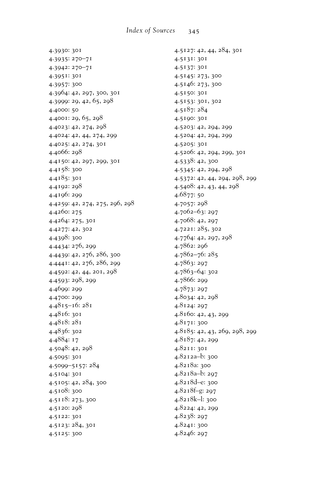4.3930: 301 4.3935: 270–71 4.3942: 270–71 4.3951: 301 4.3957: 300 4.3964: 42, 297, 300, 301 4.3999: 29, 42, 65, 298 4.4000: 50 4.4001: 29, 65, 298 4.4023: 42, 274, 298 4.4024: 42, 44, 274, 299 4.4025: 42, 274, 301 4.4066: 298 4.4150: 42, 297, 299, 301 4.4158: 300 4.4185: 301 4.4192: 298 4.4196: 299 4.4259: 42, 274, 275, 296, 298 4.4260: 275 4.4264: 275, 301 4.4277: 42, 302 4.4398: 300 4.4434: 276, 299 4.4439: 42, 276, 286, 300 4.4441: 42, 276, 286, 299 4.4592: 42, 44, 201, 298 4.4593: 298, 299 4.4699: 299 4.4700: 299 4.4815–16: 281 4.4816: 301 4.4818: 281 4.4836: 302 4.4884: 17 4.5048: 42, 298 4.5095: 301 4.5099–5157: 284 4.5104: 301 4.5105: 42, 284, 300 4.5108: 300 4.5118: 273, 300 4.5120: 298 4.5122: 301 4.5123: 284, 301 4.5125: 300

4.5127: 42, 44, 284, 301 4.5131: 301 4.5137: 301 4.5145: 273, 300 4.5146: 273, 300 4.5150: 301 4.5153: 301, 302 4.5187: 284 4.5190: 301 4.5203: 42, 294, 299 4.5204: 42, 294, 299 4.5205: 301 4.5206: 42, 294, 299, 301 4.5338: 42, 300 4.5345: 42, 294, 298 4.5372: 42, 44, 294, 298, 299 4.5408: 42, 43, 44, 298 4.6877: 50 4.7057: 298 4.7062–63: 297 4.7068: 42, 297 4.7221: 285, 302 4.7764: 42, 297, 298 4.7862: 296 4.7862–76: 285 4.7863: 297 4.7863–64: 302 4.7866: 299 4.7873: 297 4.8034: 42, 298 4.8124: 297 4.8160: 42, 43, 299 4.8171: 300 4.8185: 42, 43, 269, 298, 299 4.8187: 42, 299 4.8211: 301 4.8212a–b: 300 4.8218a: 300 4.8218a–b: 297 4.8218d–e: 300 4.8218f–g: 297 4.8218k–l: 300 4.8224: 42, 299 4.8238: 297 4.8241: 300 4.8246: 297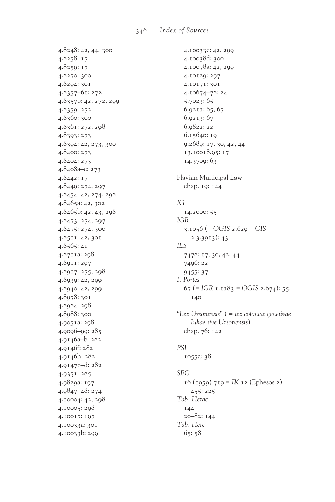4.8248: 42, 44, 300 4.8258:17 4.8259: 17 4.8270: 300 4.8294: 301  $4.8357 - 61:272$ 4.8357b: 42, 272, 299 4.8359: 272 4.8360: 300 4.8361: 272, 298 4.8393: 273 4.8394: 42, 273, 300 4.8400: 273 4.8404: 273 4.8408а-с: 273 4.8442: 17 4.8449: 274, 297 4.8454: 42, 274, 298 4.8465a: 42, 302 4.8465b: 42, 43, 298 4.8473: 274, 297 4.8475: 274, 300 4.8511:42,301  $4.8565:41$ 4.8711a: 298 4.8911:297 4.8917: 275, 298 4.8939: 42, 299 4.8940: 42, 299 4.8978: 301 4.8984: 298 4.8988: 300 4.9051a: 298  $4.0006 - 00:285$ 4.9146a-b: 282 4.9146f: 282 4.9146h: 282 4.9147b-d: 282  $4.9351:285$ 4.9829a: 197 4.9847-48: 274 4.10004: 42, 298 4.10005: 298 4.10017: 197 4.10033a: 301 4.10033b: 200

4.10033C: 42, 299 4.10038d: 300 4.10078a: 42, 299 4.10129: 297 4.10171: 301 4.10674-78:24  $5.7023:65$ 6.9211:65,67  $6.9213:67$ 6.9822:22  $6.15640:19$ 9.2689: 17, 30, 42, 44 13.10018.95: 17 14.3709: 63 Flavian Municipal Law chap. 19: 144  $IG$ 14.2000: 55 **IGR** 3.1056 (=  $OGIS$  2.629 =  $CIS$  $2.3.3913$ : 43  $ILS$ 7478: 17, 30, 42, 44 7496: 22 9455:37 I. Portes  $67$  (= IGR 1.1183 = OGIS 2.674): 55, 140 "Lex Ursonensis" ( = lex coloniae genetivae Iuliae sive Ursonensis) chap. 76: 142 **PSI** 1055a: 38 **SEG** 

 $16$  (1959) 719 = IK 12 (Ephesos 2)  $455:225$ Tab. Herac. 144  $20 - 82:144$ Tab. Herc.  $65:58$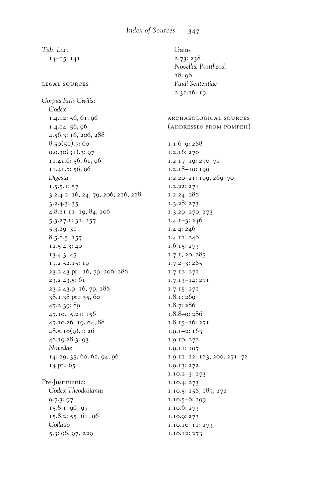*Tab. Lar.* 14–15: 141 legal sources *Corpus Iuris Civilis: Codex* 1.4.12: 56, 61, 96 1.4.14: 56, 96 4.56.3: 16, 206, 288  $8.50(51).7:60$  $9.9.30(31).3:97$ 11.41.6: 56, 61, 96 11.41.7: 56, 96 *Digesta* 1.5.5.1: 57 3.2.4.2: 16, 24, 79, 206, 216, 288 3.2.4.3: 35 4.8.21.11: 19, 84, 206 5.3.27.1: 31, 157 5.3.29: 31 8.5.8.5: 157 12.5.4.3: 40 13.4.3: 45 17.2.52.15: 19 23.2.43 pr.: 16, 79, 206, 288 23.2.43.5: 61 23.2.43.9: 16, 79, 288 38.1.38 pr.: 35, 60 47.2.39: 89 47.10.15.21: 156 47.10.26: 19, 84, 88  $48.5.10(9)$ .1: 26 48.19.28.3: 93 *Novellae* 14: 29, 35, 60, 61, 94, 96 14 pr.: 65 Pre-Justinianic: *Codex Theodosianus* 9.7.3: 97 15.8.1: 96*,* 97 15.8.2: 55*,* 61*,* 96 *Collatio*  5.3: 96, 97*,* 229 Gaius 2.73: 238 *Novellae Posttheod.* 18: 96 *Pauli Sententiae* 2.31.16: 19 archaeological sources (addresses from pompeii) 1.1.6–9: 288 1.2.16: 270 1.2.17–19: 270–71 1.2.18–19: 199 1.2.20–21: 199, 269–70 1.2.22: 271 1.2.24: 288 1.3.28: 273 1.3.29: 270, 273 1.4.1–3: 246 1.4.4: 246 1.4.11: 246 1.6.15: 273 1.7.1, 20: 285 1.7.2–3: 285 1.7.12: 271 1.7.13–14: 271 1.7.15: 271 1.8.1: 269 1.8.7: 286 1.8.8–9: 286 1.8.15–16: 271 1.9.1–2: 163 1.9.10: 272 1.9.11: 197  $1.9.11 - 12: 183, 200, 271 - 72$ 1.9.13: 272 1.10.2–3: 273 1.10.4: 273 1.10.5: 158, 187, 272 1.10.5–6: 199 1.10.6: 273 1.10.9: 273 1.10.10–11: 273 1.10.12: 273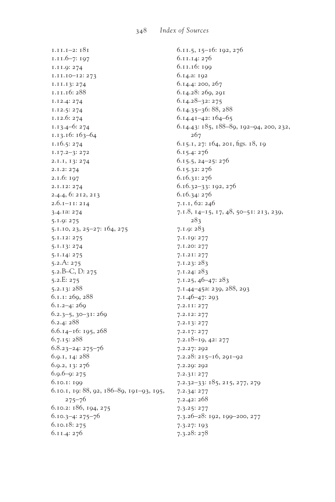$1.11.1 - 2:181$  $1.11.6 - 7:197$ 1.11.9: 274  $I.II.IO-I2:273$ 1.11.13:274 1.11.16:288 1.12.4: 274  $1.12.5:274$  $1.12.6:274$  $1.13.4 - 6:274$ 1.13.16: 163-64  $1.16.5:274$  $1.17.2 - 3:272$ 2.1.1, 13: 274  $2.1.2:274$  $2.1.6:197$ 2.1.12: 274 2.4.4, 6: 212, 213  $2.6.1 - 11:214$ 3.4.12: 274 5.1.9: 275 5.1.10, 23, 25-27: 164, 275 5.1.12: 275 5.1.13: 274 5.1.14: 275  $5.2.A: 275$ 5.2.B-C, D: 275  $5.2.E: 275$  $5.2.13:288$  $6.1.1:269,288$  $6.1.2 - 4:269$  $6.2.3 - 5, 30 - 31:269$  $6.2.4:288$  $6.6.14 - 16:195,268$  $6.7.15:288$  $6.8.23 - 24:275 - 76$ 6.9.1, 14: 288 6.9.2, 13: 276  $6.9.6 - 9:275$ 6.10.1: 199 6.10.1, 19:88, 92, 186-89, 191-93, 195,  $275 - 76$ 6.10.2: 186, 194, 275  $6.10.3 - 4:275 - 76$ 6.10.18: 275 6.11.4:276

 $6.11.5, 15-16:192, 276$ 6.11.14:276 6.11.16: 199 6.14.a: 192 6.14.4: 200, 267 6.14.28: 269, 291  $6.14.28 - 32:275$  $6.14.35 - 36:88,288$  $6.14.41 - 42:164 - 65$ 6.14.43: 185, 188-89, 192-94, 200, 232,  $267$ 6.15.1, 27: 164, 201, figs. 18, 19  $6.15.4:276$  $6.15.5, 24 - 25:276$ 6.15.32:276 6.16.31:276  $6.16.32 - 33:192,276$ 6.16.34: 276 7.1.1, 62: 246 7.1.8, 14-15, 17, 48, 50-51: 213, 239,  $283$  $7.1.9:283$ 7.1.19: 277 7.1.20: 277  $7.1.21:277$  $7.1.23:283$  $7.1.24:283$  $7.1.25, 46 - 47:283$ 7.1.44-45a: 239, 288, 293  $7.1.46 - 47:293$ 7.2.11: 277 7.2.12: 277 7.2.13: 277  $7.2.17:277$  $7.2.18 - 19, 42:277$ 7.2.27: 292  $7.2.28:215 - 16,291 - 92$ 7.2.29: 292 7.2.31: 277  $7.2.32 - 33: 185, 215, 277, 279$  $7.2.34:277$  $7.2.42:268$  $7.3.25:277$ 7.3.26-28: 192, 199-200, 277 7.3.27: 193  $7.3.28:278$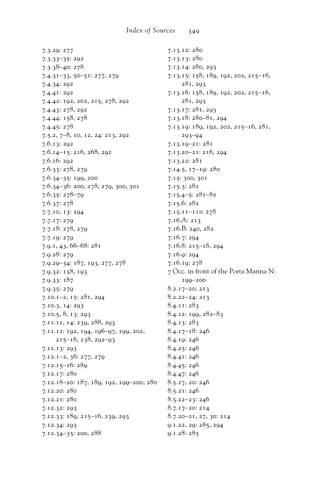7.3.29: 277 7.3.33-35: 292  $7.3.38 - 40:278$  $7.4.31 - 33, 50 - 51:277, 279$ 7.4.34: 292 7.4.41: 292 7.4.42: 192, 202, 215, 278, 292 7.4.43: 278, 292 7.4.44: 158, 278  $7.4.45:278$ 7.5.2, 7-8, 10, 12, 24: 213, 292  $7.6.13:292$  $7.6.14 - 15:216,268,292$ 7.6.16: 292 7.6.33: 278, 279  $7.6.34 - 35:199,200$ 7.6.34-36: 200, 278, 279, 300, 301  $7.6.35:278-79$  $7.6.37:278$ 7.7.10, 13: 294  $7.7.17:279$  $7.7.18:278,279$ 7.7.19: 279 7.9.1, 43, 66-68: 281 7.9.28: 279 7.9.29-34: 187, 193, 277, 278 7.9.32: 158, 193  $7.9.33:187$ 7.9.35: 279  $7.10.1 - 2, 15:281, 204$ 7.10.3, 14: 293  $7.10.5, 8, 13:293$ 7.11.11, 14: 239, 288, 293 7.11.12: 192, 194, 196-97, 199, 202,  $215 - 16$ ,  $238$ ,  $292 - 93$ 7.11.13: 293  $7.12.1 - 2, 36: 277, 279$  $7.12.15 - 16:289$ 7.12.17: 280 7.12.18-20: 187, 189, 192, 199-200, 280 7.12.20: 280 7.12.21: 280 7.12.32: 293 7.12.33: 189, 215-16, 239, 293 7.12.34: 293 7.12.34-35: 200, 288

7.13.12:280 7.13.13:280 7.13.14: 280, 293 7.13.15: 158, 189, 192, 202, 215-16,  $281, 293$ 7.13.16: 158, 189, 192, 202, 215-16,  $281, 293$ 7.13.17: 281, 293  $7.13.18:280 - 81,294$ 7.13.19: 189, 192, 202, 215-16, 281,  $203 - 04$  $7.13.19 - 21:281$ 7.13.20-21: 216, 204 7.13.22: 281 7.14.5, 17-19: 280 7.15: 300, 301  $7.15.3:282$  $7.15.4 - 5:281 - 82$  $7.15.6:282$ 7.15.11-11a: 278  $7.16.A: 213$  $7.16.B: 240, 282$ 7.16.7: 294 7.16.8: 215-16, 294 7.16.9: 294 7.16.19: 278 7 Occ. in front of the Porta Marina N: 199-200  $8.2.17 - 20:213$  $8.2.22 - 24:213$  $8.4.11:283$  $8.4.12:199,282-83$  $8.4.13:283$  $8.4.17 - 18:246$ 8.4.19:246  $8.4.25:246$ 8.4.41:246 8.4.45: 246 8.4.47: 246 8.5.17, 20: 246 8.5.21:246  $8.5.22 - 23:246$ 8.7.17-20: 214 8.7.20-21, 27, 30: 214 9.1.22, 29: 285, 294

 $0.1.28:285$